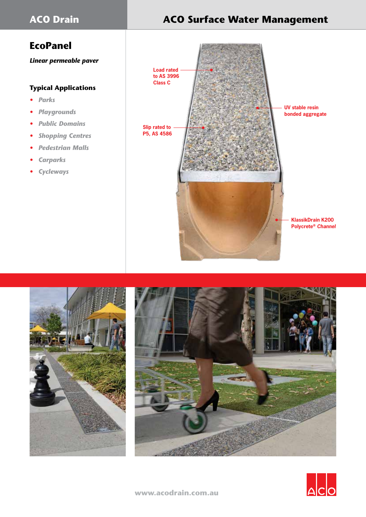# **EcoPanel**

*Linear permeable paver*

# **Typical Applications**

- *• Parks*
- *• Playgrounds*
- *• Public Domains*
- *• Shopping Centres*
- *• Pedestrian Malls*
- *• Carparks*
- *• Cycleways*

# **ACO Drain ACO Surface Water Management**







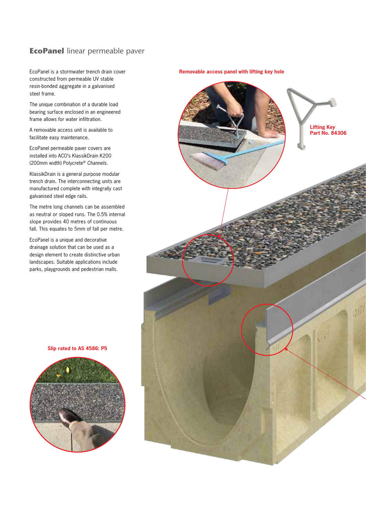# **EcoPanel** linear permeable paver

EcoPanel is a stormwater trench drain cover constructed from permeable UV stable resin-bonded aggregate in a galvanised steel frame.

The unique combination of a durable load bearing surface enclosed in an engineered frame allows for water infiltration.

A removable access unit is available to facilitate easy maintenance.

EcoPanel permeable paver covers are installed into ACO's KlassikDrain K200 (200mm width) Polycrete® *Channels.*

KlassikDrain is a general purpose modular trench drain. The interconnecting units are manufactured complete with integrally cast galvanised steel edge rails.

The metre long channels can be assembled as neutral or sloped runs. The 0.5% internal slope provides 40 metres of continuous fall. This equates to 5mm of fall per metre.

EcoPanel is a unique and decorative drainage solution that can be used as a design element to create distinctive urban landscapes. Suitable applications include parks, playgrounds and pedestrian malls.



**Slip rated to AS 4586: P5**

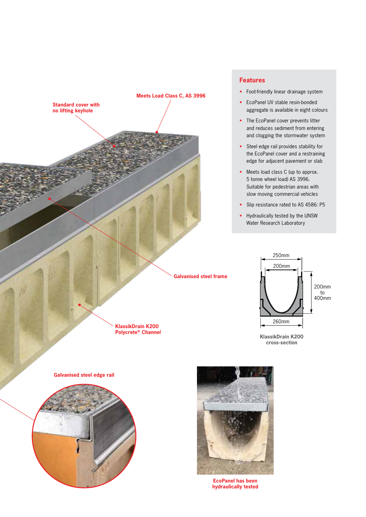

#### **Features**

- Foot-friendly linear drainage system
- EcoPanel UV stable resin-bonded aggregate is available in eight colours
- The EcoPanel cover prevents litter and reduces sediment from entering and clogging the stormwater system
- Steel edge rail provides stability for the EcoPanel cover and a restraining edge for adjacent pavement or slab
- Meets load class C (up to approx. 5 tonne wheel load) AS 3996. Suitable for pedestrian areas with slow moving commercial vehicles
- Slip resistance rated to AS 4586: P5
- Hydraulically tested by the UNSW Water Research Laboratory



**KlassikDrain K200 cross-section**





**EcoPanel has been hydraulically tested**